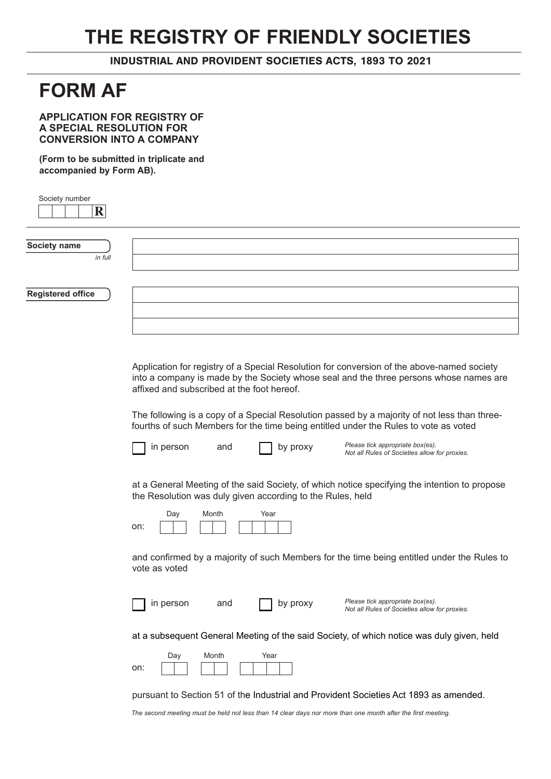## **THE REGISTRY OF FRIENDLY SOCIETIES**

INDUSTRIAL AND PROVIDENT SOCIETIES ACTS, 1893 TO 2021

## **FORM AF**

**APPLICATION FOR REGISTRY OF A SPECIAL RESOLUTION FOR CONVERSION INTO A COMPANY**

**(Form to be submitted in triplicate and accompanied by Form AB).**

| Society number<br>$\mathbf R$ |                                                                                                                                                                                                                                                                                                                                                                                                                            |  |
|-------------------------------|----------------------------------------------------------------------------------------------------------------------------------------------------------------------------------------------------------------------------------------------------------------------------------------------------------------------------------------------------------------------------------------------------------------------------|--|
|                               |                                                                                                                                                                                                                                                                                                                                                                                                                            |  |
| Society name                  |                                                                                                                                                                                                                                                                                                                                                                                                                            |  |
| in full                       |                                                                                                                                                                                                                                                                                                                                                                                                                            |  |
|                               |                                                                                                                                                                                                                                                                                                                                                                                                                            |  |
| <b>Registered office</b>      |                                                                                                                                                                                                                                                                                                                                                                                                                            |  |
|                               |                                                                                                                                                                                                                                                                                                                                                                                                                            |  |
|                               |                                                                                                                                                                                                                                                                                                                                                                                                                            |  |
|                               | Application for registry of a Special Resolution for conversion of the above-named society<br>into a company is made by the Society whose seal and the three persons whose names are<br>affixed and subscribed at the foot hereof.<br>The following is a copy of a Special Resolution passed by a majority of not less than three-<br>fourths of such Members for the time being entitled under the Rules to vote as voted |  |
|                               | Please tick appropriate box(es).<br>in person<br>and<br>by proxy<br>Not all Rules of Societies allow for proxies.                                                                                                                                                                                                                                                                                                          |  |
|                               | at a General Meeting of the said Society, of which notice specifying the intention to propose<br>the Resolution was duly given according to the Rules, held<br>Day<br>Month<br>Year<br>on:                                                                                                                                                                                                                                 |  |
|                               | and confirmed by a majority of such Members for the time being entitled under the Rules to<br>vote as voted                                                                                                                                                                                                                                                                                                                |  |
|                               | Please tick appropriate box(es).<br>by proxy<br>in person<br>and<br>Not all Rules of Societies allow for proxies.                                                                                                                                                                                                                                                                                                          |  |
|                               | at a subsequent General Meeting of the said Society, of which notice was duly given, held                                                                                                                                                                                                                                                                                                                                  |  |
|                               | Year<br>Day<br>Month<br>on:                                                                                                                                                                                                                                                                                                                                                                                                |  |
|                               | pursuant to Section 51 of the Industrial and Provident Societies Act 1893 as amended.                                                                                                                                                                                                                                                                                                                                      |  |

*The second meeting must be held not less than 14 clear days nor more than one month after the first meeting.*